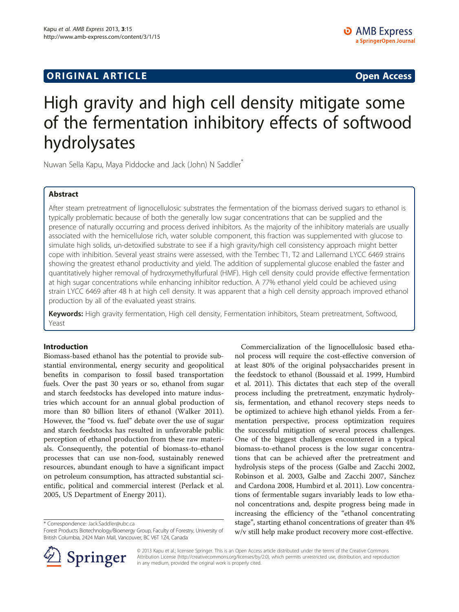# **ORIGINAL ARTICLE CONSUMING A LIGACION CONSUMING A LIGACION CONSUMING A LIGACION**

# High gravity and high cell density mitigate some of the fermentation inhibitory effects of softwood hydrolysates

Nuwan Sella Kapu, Maya Piddocke and Jack (John) N Saddler\*

# Abstract

After steam pretreatment of lignocellulosic substrates the fermentation of the biomass derived sugars to ethanol is typically problematic because of both the generally low sugar concentrations that can be supplied and the presence of naturally occurring and process derived inhibitors. As the majority of the inhibitory materials are usually associated with the hemicellulose rich, water soluble component, this fraction was supplemented with glucose to simulate high solids, un-detoxified substrate to see if a high gravity/high cell consistency approach might better cope with inhibition. Several yeast strains were assessed, with the Tembec T1, T2 and Lallemand LYCC 6469 strains showing the greatest ethanol productivity and yield. The addition of supplemental glucose enabled the faster and quantitatively higher removal of hydroxymethylfurfural (HMF). High cell density could provide effective fermentation at high sugar concentrations while enhancing inhibitor reduction. A 77% ethanol yield could be achieved using strain LYCC 6469 after 48 h at high cell density. It was apparent that a high cell density approach improved ethanol production by all of the evaluated yeast strains.

Keywords: High gravity fermentation, High cell density, Fermentation inhibitors, Steam pretreatment, Softwood, Yeast

### Introduction

Biomass-based ethanol has the potential to provide substantial environmental, energy security and geopolitical benefits in comparison to fossil based transportation fuels. Over the past 30 years or so, ethanol from sugar and starch feedstocks has developed into mature industries which account for an annual global production of more than 80 billion liters of ethanol (Walker [2011](#page-8-0)). However, the "food vs. fuel" debate over the use of sugar and starch feedstocks has resulted in unfavorable public perception of ethanol production from these raw materials. Consequently, the potential of biomass-to-ethanol processes that can use non-food, sustainably renewed resources, abundant enough to have a significant impact on petroleum consumption, has attracted substantial scientific, political and commercial interest (Perlack et al. [2005](#page-8-0), US Department of Energy [2011](#page-7-0)).

\* Correspondence: [Jack.Saddler@ubc.ca](mailto:Jack.Saddler@ubc.ca)

Forest Products Biotechnology/Bioenergy Group, Faculty of Forestry, University of British Columbia, 2424 Main Mall, Vancouver, BC V6T 1Z4, Canada





© 2013 Kapu et al.; licensee Springer. This is an Open Access article distributed under the terms of the Creative Commons Attribution License [\(http://creativecommons.org/licenses/by/2.0\)](http://creativecommons.org/licenses/by/2.0), which permits unrestricted use, distribution, and reproduction in any medium, provided the original work is properly cited.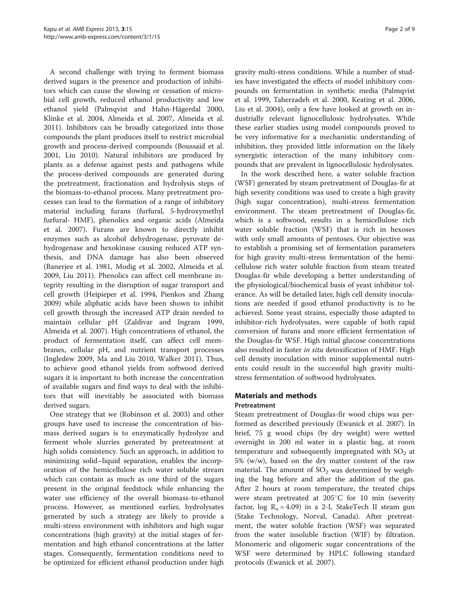A second challenge with trying to ferment biomass derived sugars is the presence and production of inhibitors which can cause the slowing or cessation of microbial cell growth, reduced ethanol productivity and low ethanol yield (Palmqvist and Hahn-Hägerdal [2000](#page-7-0), Klinke et al. [2004,](#page-7-0) Almeida et al. [2007,](#page-7-0) Almeida et al. [2011](#page-7-0)). Inhibitors can be broadly categorized into those compounds the plant produces itself to restrict microbial growth and process-derived compounds (Boussaid et al. [2001](#page-7-0), Liu [2010\)](#page-7-0). Natural inhibitors are produced by plants as a defense against pests and pathogens while the process-derived compounds are generated during the pretreatment, fractionation and hydrolysis steps of the biomass-to-ethanol process. Many pretreatment processes can lead to the formation of a range of inhibitory material including furans (furfural, 5-hydroxymethyl furfural- HMF), phenolics and organic acids (Almeida et al. [2007\)](#page-7-0). Furans are known to directly inhibit enzymes such as alcohol dehydrogenase, pyruvate dehydrogenase and hexokinase causing reduced ATP synthesis, and DNA damage has also been observed (Banerjee et al. [1981,](#page-7-0) Modig et al. [2002](#page-7-0), Almeida et al. [2009](#page-7-0), Liu [2011\)](#page-7-0). Phenolics can affect cell membrane integrity resulting in the disruption of sugar transport and cell growth (Heipieper et al. [1994,](#page-7-0) Pienkos and Zhang [2009](#page-8-0)) while aliphatic acids have been shown to inhibit cell growth through the increased ATP drain needed to maintain cellular pH (Zaldivar and Ingram [1999](#page-8-0), Almeida et al. [2007](#page-7-0)). High concentrations of ethanol, the product of fermentation itself, can affect cell membranes, cellular pH, and nutrient transport processes (Ingledew [2009](#page-7-0), Ma and Liu [2010,](#page-7-0) Walker [2011](#page-8-0)). Thus, to achieve good ethanol yields from softwood derived sugars it is important to both increase the concentration of available sugars and find ways to deal with the inhibitors that will inevitably be associated with biomass derived sugars.

One strategy that we (Robinson et al. [2003\)](#page-8-0) and other groups have used to increase the concentration of biomass derived sugars is to enzymatically hydrolyze and ferment whole slurries generated by pretreatment at high solids consistency. Such an approach, in addition to minimizing solid–liquid separation, enables the incorporation of the hemicellulose rich water soluble stream which can contain as much as one third of the sugars present in the original feedstock while enhancing the water use efficiency of the overall biomass-to-ethanol process. However, as mentioned earlier, hydrolysates generated by such a strategy are likely to provide a multi-stress environment with inhibitors and high sugar concentrations (high gravity) at the initial stages of fermentation and high ethanol concentrations at the latter stages. Consequently, fermentation conditions need to be optimized for efficient ethanol production under high gravity multi-stress conditions. While a number of studies have investigated the effects of model inhibitory compounds on fermentation in synthetic media (Palmqvist et al. [1999](#page-8-0), Taherzadeh et al. [2000,](#page-8-0) Keating et al. [2006](#page-7-0), Liu et al. [2004](#page-7-0)), only a few have looked at growth on industrially relevant lignocellulosic hydrolysates. While these earlier studies using model compounds proved to be very informative for a mechanistic understanding of inhibition, they provided little information on the likely synergistic interaction of the many inhibitory compounds that are prevalent in lignocellulosic hydrolysates.

In the work described here, a water soluble fraction (WSF) generated by steam pretreatment of Douglas-fir at high severity conditions was used to create a high gravity (high sugar concentration), multi-stress fermentation environment. The steam pretreatment of Douglas-fir, which is a softwood, results in a hemicellulose rich water soluble fraction (WSF) that is rich in hexoses with only small amounts of pentoses. Our objective was to establish a promising set of fermentation parameters for high gravity multi-stress fermentation of the hemicellulose rich water soluble fraction from steam treated Douglas-fir while developing a better understanding of the physiological/biochemical basis of yeast inhibitor tolerance. As will be detailed later, high cell density inoculations are needed if good ethanol productivity is to be achieved. Some yeast strains, especially those adapted to inhibitor-rich hydrolysates, were capable of both rapid conversion of furans and more efficient fermentation of the Douglas-fir WSF. High initial glucose concentrations also resulted in faster in situ detoxification of HMF. High cell density inoculation with minor supplemental nutrients could result in the successful high gravity multistress fermentation of softwood hydrolysates.

# Materials and methods

#### Pretreatment

Steam pretreatment of Douglas-fir wood chips was performed as described previously (Ewanick et al. [2007\)](#page-7-0). In brief, 75 g wood chips (by dry weight) were wetted overnight in 200 ml water in a plastic bag, at room temperature and subsequently impregnated with  $SO<sub>2</sub>$  at 5% (w/w), based on the dry matter content of the raw material. The amount of  $SO_2$  was determined by weighing the bag before and after the addition of the gas. After 2 hours at room temperature, the treated chips were steam pretreated at 205°C for 10 min (severity factor,  $log R_0 = 4.09$  in a 2-L StakeTech II steam gun (Stake Technology, Norval, Canada). After pretreatment, the water soluble fraction (WSF) was separated from the water insoluble fraction (WIF) by filtration. Monomeric and oligomeric sugar concentrations of the WSF were determined by HPLC following standard protocols (Ewanick et al. [2007](#page-7-0)).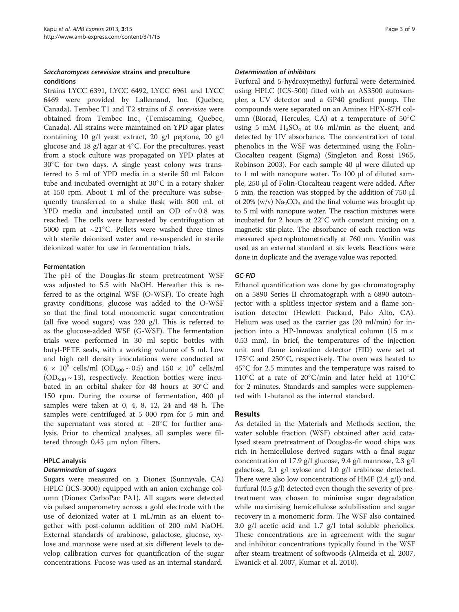## Saccharomyces cerevisiae strains and preculture conditions

Strains LYCC 6391, LYCC 6492, LYCC 6961 and LYCC 6469 were provided by Lallemand, Inc. (Quebec, Canada). Tembec T1 and T2 strains of S. cerevisiae were obtained from Tembec Inc., (Temiscaming, Quebec, Canada). All strains were maintained on YPD agar plates containing 10 g/l yeast extract, 20 g/l peptone, 20 g/l glucose and 18 g/l agar at  $4^{\circ}$ C. For the precultures, yeast from a stock culture was propagated on YPD plates at  $30^{\circ}$ C for two days. A single yeast colony was transferred to 5 ml of YPD media in a sterile 50 ml Falcon tube and incubated overnight at  $30^{\circ}$ C in a rotary shaker at 150 rpm. About 1 ml of the preculture was subsequently transferred to a shake flask with 800 mL of YPD media and incubated until an OD of  $\approx 0.8$  was reached. The cells were harvested by centrifugation at 5000 rpm at  $\sim$ 21°C. Pellets were washed three times with sterile deionized water and re-suspended in sterile deionized water for use in fermentation trials.

#### Fermentation

The pH of the Douglas-fir steam pretreatment WSF was adjusted to 5.5 with NaOH. Hereafter this is referred to as the original WSF (O-WSF). To create high gravity conditions, glucose was added to the O-WSF so that the final total monomeric sugar concentration (all five wood sugars) was 220  $g/l$ . This is referred to as the glucose-added WSF (G-WSF). The fermentation trials were performed in 30 ml septic bottles with butyl-PFTE seals, with a working volume of 5 ml. Low and high cell density inoculations were conducted at  $6 \times 10^6$  cells/ml (OD<sub>600</sub> ~ 0.5) and 150 × 10<sup>6</sup> cells/ml  $(OD_{600} \sim 13)$ , respectively. Reaction bottles were incubated in an orbital shaker for 48 hours at  $30^{\circ}$ C and 150 rpm. During the course of fermentation, 400 μl samples were taken at 0, 4, 8, 12, 24 and 48 h. The samples were centrifuged at 5 000 rpm for 5 min and the supernatant was stored at -20°C for further analysis. Prior to chemical analyses, all samples were filtered through 0.45 μm nylon filters.

### HPLC analysis

Sugars were measured on a Dionex (Sunnyvale, CA) HPLC (ICS-3000) equipped with an anion exchange column (Dionex CarboPac PA1). All sugars were detected via pulsed amperometry across a gold electrode with the use of deionized water at 1 mL/min as an eluent together with post-column addition of 200 mM NaOH. External standards of arabinose, galactose, glucose, xylose and mannose were used at six different levels to develop calibration curves for quantification of the sugar concentrations. Fucose was used as an internal standard.

#### Determination of inhibitors

Furfural and 5-hydroxymethyl furfural were determined using HPLC (ICS-500) fitted with an AS3500 autosampler, a UV detector and a GP40 gradient pump. The compounds were separated on an Aminex HPX-87H column (Biorad, Hercules, CA) at a temperature of  $50^{\circ}$ C using 5 mM  $H<sub>2</sub>SO<sub>4</sub>$  at 0.6 ml/min as the eluent, and detected by UV absorbance. The concentration of total phenolics in the WSF was determined using the Folin-Ciocalteu reagent (Sigma) (Singleton and Rossi [1965](#page-8-0), Robinson [2003\)](#page-8-0). For each sample 40 μl were diluted up to 1 ml with nanopure water. To 100 μl of diluted sample, 250 μl of Folin-Ciocalteau reagent were added. After 5 min, the reaction was stopped by the addition of 750 μl of 20% (w/v)  $Na<sub>2</sub>CO<sub>3</sub>$  and the final volume was brought up to 5 ml with nanopure water. The reaction mixtures were incubated for 2 hours at  $22^{\circ}$ C with constant mixing on a magnetic stir-plate. The absorbance of each reaction was measured spectrophotometrically at 760 nm. Vanilin was used as an external standard at six levels. Reactions were done in duplicate and the average value was reported.

#### GC-FID

Ethanol quantification was done by gas chromatography on a 5890 Series II chromatograph with a 6890 autoinjector with a splitless injector system and a flame ionisation detector (Hewlett Packard, Palo Alto, CA). Helium was used as the carrier gas (20 ml/min) for injection into a HP-Innowax analytical column (15 m $\times$ 0.53 mm). In brief, the temperatures of the injection unit and flame ionization detector (FID) were set at  $175^{\circ}$ C and  $250^{\circ}$ C, respectively. The oven was heated to  $45^{\circ}$ C for 2.5 minutes and the temperature was raised to 110°C at a rate of 20°C/min and later held at  $110^{\circ}$ C for 2 minutes. Standards and samples were supplemented with 1-butanol as the internal standard.

### Results

As detailed in the Materials and Methods section, the water soluble fraction (WSF) obtained after acid catalysed steam pretreatment of Douglas-fir wood chips was rich in hemicellulose derived sugars with a final sugar concentration of 17.9 g/l glucose, 9.4 g/l mannose, 2.3 g/l galactose, 2.1 g/l xylose and 1.0 g/l arabinose detected. There were also low concentrations of HMF (2.4 g/l) and furfural (0.5 g/l) detected even though the severity of pretreatment was chosen to minimise sugar degradation while maximising hemicellulose solubilisation and sugar recovery in a monomeric form. The WSF also contained 3.0 g/l acetic acid and 1.7 g/l total soluble phenolics. These concentrations are in agreement with the sugar and inhibitor concentrations typically found in the WSF after steam treatment of softwoods (Almeida et al. [2007](#page-7-0), Ewanick et al. [2007](#page-7-0), Kumar et al. [2010](#page-7-0)).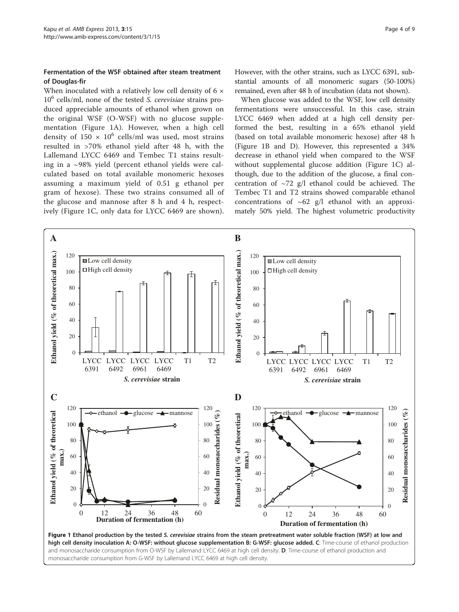#### <span id="page-3-0"></span>Fermentation of the WSF obtained after steam treatment of Douglas-fir

When inoculated with a relatively low cell density of 6  $\times$  $10^6$  cells/ml, none of the tested *S. cerevisiae* strains produced appreciable amounts of ethanol when grown on the original WSF (O-WSF) with no glucose supplementation (Figure 1A). However, when a high cell density of  $150 \times 10^6$  cells/ml was used, most strains resulted in >70% ethanol yield after 48 h, with the Lallemand LYCC 6469 and Tembec T1 stains resulting in a ~98% yield (percent ethanol yields were calculated based on total available monomeric hexoses assuming a maximum yield of 0.51 g ethanol per gram of hexose). These two strains consumed all of the glucose and mannose after 8 h and 4 h, respectively (Figure 1C, only data for LYCC 6469 are shown). However, with the other strains, such as LYCC 6391, substantial amounts of all monomeric sugars (50-100%) remained, even after 48 h of incubation (data not shown).

When glucose was added to the WSF, low cell density fermentations were unsuccessful. In this case, strain LYCC 6469 when added at a high cell density performed the best, resulting in a 65% ethanol yield (based on total available monomeric hexose) after 48 h (Figure 1B and D). However, this represented a 34% decrease in ethanol yield when compared to the WSF without supplemental glucose addition (Figure 1C) although, due to the addition of the glucose, a final concentration of  $\sim$ 72 g/l ethanol could be achieved. The Tembec T1 and T2 strains showed comparable ethanol concentrations of  $\sim 62$  g/l ethanol with an approximately 50% yield. The highest volumetric productivity

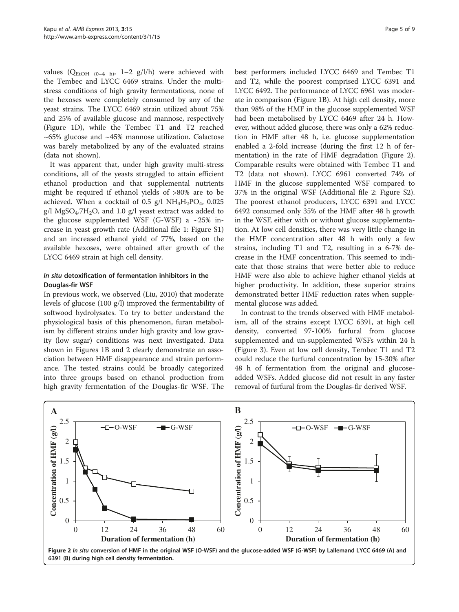values ( $Q_{EtOH}$  (0–4 h), 1–2 g/l/h) were achieved with the Tembec and LYCC 6469 strains. Under the multistress conditions of high gravity fermentations, none of the hexoses were completely consumed by any of the yeast strains. The LYCC 6469 strain utilized about 75% and 25% of available glucose and mannose, respectively (Figure [1D](#page-3-0)), while the Tembec T1 and T2 reached  $~1$  ~65% glucose and ~45% mannose utilization. Galactose was barely metabolized by any of the evaluated strains (data not shown).

It was apparent that, under high gravity multi-stress conditions, all of the yeasts struggled to attain efficient ethanol production and that supplemental nutrients might be required if ethanol yields of >80% are to be achieved. When a cocktail of 0.5 g/l  $NH_4H_2PO_4$ , 0.025  $g/l$  MgSO<sub>4</sub>.7H<sub>2</sub>O, and 1.0  $g/l$  yeast extract was added to the glucose supplemented WSF (G-WSF) a  $\sim$ 25% increase in yeast growth rate (Additional file [1:](#page-7-0) Figure S1) and an increased ethanol yield of 77%, based on the available hexoses, were obtained after growth of the LYCC 6469 strain at high cell density.

## In situ detoxification of fermentation inhibitors in the Douglas-fir WSF

In previous work, we observed (Liu, [2010\)](#page-7-0) that moderate levels of glucose (100 g/l) improved the fermentability of softwood hydrolysates. To try to better understand the physiological basis of this phenomenon, furan metabolism by different strains under high gravity and low gravity (low sugar) conditions was next investigated. Data shown in Figures [1B](#page-3-0) and 2 clearly demonstrate an association between HMF disappearance and strain performance. The tested strains could be broadly categorized into three groups based on ethanol production from high gravity fermentation of the Douglas-fir WSF. The

best performers included LYCC 6469 and Tembec T1 and T2, while the poorest comprised LYCC 6391 and LYCC 6492. The performance of LYCC 6961 was moderate in comparison (Figure [1](#page-3-0)B). At high cell density, more than 98% of the HMF in the glucose supplemented WSF had been metabolised by LYCC 6469 after 24 h. However, without added glucose, there was only a 62% reduction in HMF after 48 h, i.e. glucose supplementation enabled a 2-fold increase (during the first 12 h of fermentation) in the rate of HMF degradation (Figure 2). Comparable results were obtained with Tembec T1 and T2 (data not shown). LYCC 6961 converted 74% of HMF in the glucose supplemented WSF compared to 37% in the original WSF (Additional file [2:](#page-7-0) Figure S2). The poorest ethanol producers, LYCC 6391 and LYCC 6492 consumed only 35% of the HMF after 48 h growth in the WSF, either with or without glucose supplementation. At low cell densities, there was very little change in the HMF concentration after 48 h with only a few strains, including T1 and T2, resulting in a 6-7% decrease in the HMF concentration. This seemed to indicate that those strains that were better able to reduce HMF were also able to achieve higher ethanol yields at higher productivity. In addition, these superior strains demonstrated better HMF reduction rates when supplemental glucose was added.

In contrast to the trends observed with HMF metabolism, all of the strains except LYCC 6391, at high cell density, converted 97-100% furfural from glucose supplemented and un-supplemented WSFs within 24 h (Figure [3](#page-5-0)). Even at low cell density, Tembec T1 and T2 could reduce the furfural concentration by 15-30% after 48 h of fermentation from the original and glucoseadded WSFs. Added glucose did not result in any faster removal of furfural from the Douglas-fir derived WSF.

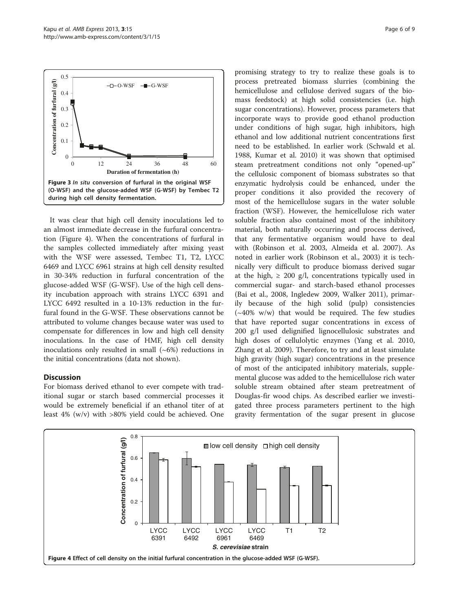

<span id="page-5-0"></span>

It was clear that high cell density inoculations led to an almost immediate decrease in the furfural concentration (Figure 4). When the concentrations of furfural in the samples collected immediately after mixing yeast with the WSF were assessed, Tembec T1, T2, LYCC 6469 and LYCC 6961 strains at high cell density resulted in 30-34% reduction in furfural concentration of the glucose-added WSF (G-WSF). Use of the high cell density incubation approach with strains LYCC 6391 and LYCC 6492 resulted in a 10-13% reduction in the furfural found in the G-WSF. These observations cannot be attributed to volume changes because water was used to compensate for differences in low and high cell density inoculations. In the case of HMF, high cell density inoculations only resulted in small  $(-6%)$  reductions in the initial concentrations (data not shown).

### **Discussion**

For biomass derived ethanol to ever compete with traditional sugar or starch based commercial processes it would be extremely beneficial if an ethanol titer of at least 4% (w/v) with >80% yield could be achieved. One

promising strategy to try to realize these goals is to process pretreated biomass slurries (combining the hemicellulose and cellulose derived sugars of the biomass feedstock) at high solid consistencies (i.e. high sugar concentrations). However, process parameters that incorporate ways to provide good ethanol production under conditions of high sugar, high inhibitors, high ethanol and low additional nutrient concentrations first need to be established. In earlier work (Schwald et al. [1988](#page-8-0), Kumar et al. [2010](#page-7-0)) it was shown that optimised steam pretreatment conditions not only "opened-up" the cellulosic component of biomass substrates so that enzymatic hydrolysis could be enhanced, under the proper conditions it also provided the recovery of most of the hemicellulose sugars in the water soluble fraction (WSF). However, the hemicellulose rich water soluble fraction also contained most of the inhibitory material, both naturally occurring and process derived, that any fermentative organism would have to deal with (Robinson et al. [2003](#page-8-0), Almeida et al. [2007\)](#page-7-0). As noted in earlier work (Robinson et al., [2003](#page-8-0)) it is technically very difficult to produce biomass derived sugar at the high,  $\geq 200$  g/l, concentrations typically used in commercial sugar- and starch-based ethanol processes (Bai et al., [2008,](#page-7-0) Ingledew [2009](#page-7-0), Walker [2011](#page-8-0)), primarily because of the high solid (pulp) consistencies (~40% w/w) that would be required. The few studies that have reported sugar concentrations in excess of 200 g/l used delignified lignocellulosic substrates and high doses of cellulolytic enzymes (Yang et al. [2010](#page-8-0), Zhang et al. [2009\)](#page-8-0). Therefore, to try and at least simulate high gravity (high sugar) concentrations in the presence of most of the anticipated inhibitory materials, supplemental glucose was added to the hemicellulose rich water soluble stream obtained after steam pretreatment of Douglas-fir wood chips. As described earlier we investigated three process parameters pertinent to the high gravity fermentation of the sugar present in glucose

![](_page_5_Figure_7.jpeg)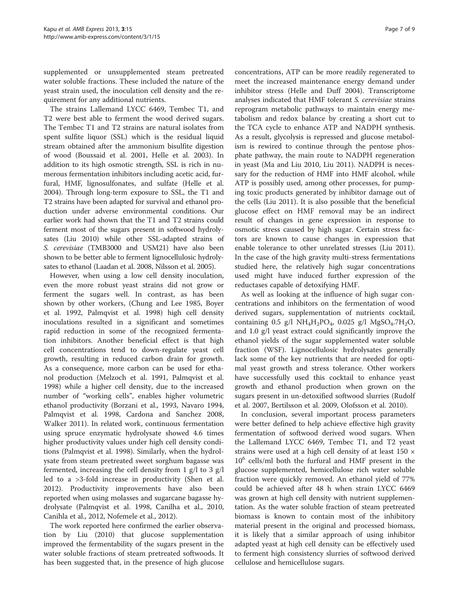supplemented or unsupplemented steam pretreated water soluble fractions. These included the nature of the yeast strain used, the inoculation cell density and the requirement for any additional nutrients.

The strains Lallemand LYCC 6469, Tembec T1, and T2 were best able to ferment the wood derived sugars. The Tembec T1 and T2 strains are natural isolates from spent sulfite liquor (SSL) which is the residual liquid stream obtained after the ammonium bisulfite digestion of wood (Boussaid et al. [2001,](#page-7-0) Helle et al. [2003](#page-7-0)). In addition to its high osmotic strength, SSL is rich in numerous fermentation inhibitors including acetic acid, furfural, HMF, lignosulfonates, and sulfate (Helle et al. [2004](#page-7-0)). Through long-term exposure to SSL, the T1 and T2 strains have been adapted for survival and ethanol production under adverse environmental conditions. Our earlier work had shown that the T1 and T2 strains could ferment most of the sugars present in softwood hydrolysates (Liu [2010](#page-7-0)) while other SSL-adapted strains of S. cerevisiae (TMB3000 and USM21) have also been shown to be better able to ferment lignocellulosic hydrolysates to ethanol (Laadan et al. [2008,](#page-7-0) Nilsson et al. [2005\)](#page-7-0).

However, when using a low cell density inoculation, even the more robust yeast strains did not grow or ferment the sugars well. In contrast, as has been shown by other workers, (Chung and Lee [1985](#page-7-0), Boyer et al. [1992](#page-7-0), Palmqvist et al. [1998](#page-7-0)) high cell density inoculations resulted in a significant and sometimes rapid reduction in some of the recognized fermentation inhibitors. Another beneficial effect is that high cell concentrations tend to down-regulate yeast cell growth, resulting in reduced carbon drain for growth. As a consequence, more carbon can be used for ethanol production (Melzoch et al. [1991,](#page-7-0) Palmqvist et al. [1998](#page-7-0)) while a higher cell density, due to the increased number of "working cells", enables higher volumetric ethanol productivity (Borzani et al., [1993](#page-7-0), Navaro [1994](#page-7-0), Palmqvist et al. [1998,](#page-7-0) Cardona and Sanchez [2008](#page-7-0), Walker [2011\)](#page-8-0). In related work, continuous fermentation using spruce enzymatic hydrolysate showed 4.6 times higher productivity values under high cell density conditions (Palmqvist et al. [1998](#page-7-0)). Similarly, when the hydrolysate from steam pretreated sweet sorghum bagasse was fermented, increasing the cell density from 1 g/l to 3 g/l led to a >3-fold increase in productivity (Shen et al. [2012](#page-8-0)). Productivity improvements have also been reported when using molasses and sugarcane bagasse hydrolysate (Palmqvist et al. [1998,](#page-7-0) Canilha et al., [2010](#page-7-0), Canihla et al., [2012](#page-7-0), Nofemele et al., [2012\)](#page-7-0).

The work reported here confirmed the earlier observation by Liu [\(2010\)](#page-7-0) that glucose supplementation improved the fermentability of the sugars present in the water soluble fractions of steam pretreated softwoods. It has been suggested that, in the presence of high glucose

concentrations, ATP can be more readily regenerated to meet the increased maintenance energy demand under inhibitor stress (Helle and Duff [2004](#page-7-0)). Transcriptome analyses indicated that HMF tolerant S. cerevisiae strains reprogram metabolic pathways to maintain energy metabolism and redox balance by creating a short cut to the TCA cycle to enhance ATP and NADPH synthesis. As a result, glycolysis is repressed and glucose metabolism is rewired to continue through the pentose phosphate pathway, the main route to NADPH regeneration in yeast (Ma and Liu [2010](#page-7-0), Liu [2011](#page-7-0)). NADPH is necessary for the reduction of HMF into HMF alcohol, while ATP is possibly used, among other processes, for pumping toxic products generated by inhibitor damage out of the cells (Liu [2011](#page-7-0)). It is also possible that the beneficial glucose effect on HMF removal may be an indirect result of changes in gene expression in response to osmotic stress caused by high sugar. Certain stress factors are known to cause changes in expression that enable tolerance to other unrelated stresses (Liu [2011](#page-7-0)). In the case of the high gravity multi-stress fermentations studied here, the relatively high sugar concentrations used might have induced further expression of the reductases capable of detoxifying HMF.

As well as looking at the influence of high sugar concentrations and inhibitors on the fermentation of wood derived sugars, supplementation of nutrients cocktail, containing 0.5 g/l NH<sub>4</sub>H<sub>2</sub>PO<sub>4</sub>, 0.025 g/l MgSO<sub>4</sub>.7H<sub>2</sub>O, and 1.0 g/l yeast extract could significantly improve the ethanol yields of the sugar supplemented water soluble fraction (WSF). Lignocellulosic hydrolysates generally lack some of the key nutrients that are needed for optimal yeast growth and stress tolerance. Other workers have successfully used this cocktail to enhance yeast growth and ethanol production when grown on the sugars present in un-detoxified softwood slurries (Rudolf et al. [2007,](#page-8-0) Bertilsson et al. [2009](#page-7-0), Olofsson et al. [2010\)](#page-7-0).

In conclusion, several important process parameters were better defined to help achieve effective high gravity fermentation of softwood derived wood sugars. When the Lallemand LYCC 6469, Tembec T1, and T2 yeast strains were used at a high cell density of at least  $150 \times$ 10<sup>6</sup> cells/ml both the furfural and HMF present in the glucose supplemented, hemicellulose rich water soluble fraction were quickly removed. An ethanol yield of 77% could be achieved after 48 h when strain LYCC 6469 was grown at high cell density with nutrient supplementation. As the water soluble fraction of steam pretreated biomass is known to contain most of the inhibitory material present in the original and processed biomass, it is likely that a similar approach of using inhibitor adapted yeast at high cell density can be effectively used to ferment high consistency slurries of softwood derived cellulose and hemicellulose sugars.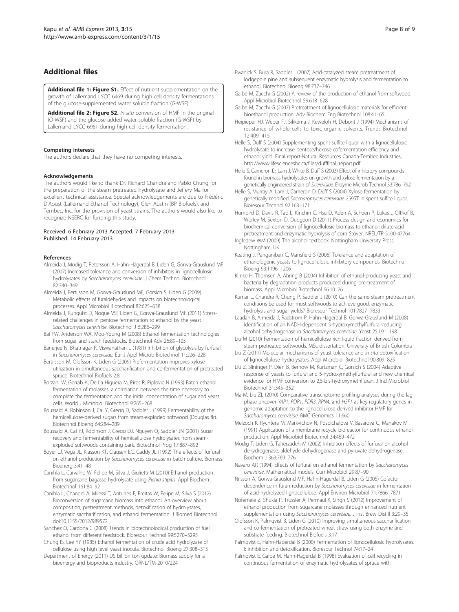# <span id="page-7-0"></span>Additional files

[Additional file 1: Figure S1.](http://www.biomedcentral.com/content/supplementary/2191-0855-3-15-S1.doc) Effect of nutrient supplementation on the growth of Lallemand LYCC 6469 during high cell density fermentations of the glucose-supplemented water soluble fraction (G-WSF).

[Additional file 2: Figure S2.](http://www.biomedcentral.com/content/supplementary/2191-0855-3-15-S2.doc) In situ conversion of HMF in the original (O-WSF) and the glucose-added water soluble fraction (G-WSF) by Lallemand LYCC 6961 during high cell density fermentation.

#### Competing interests

The authors declare that they have no competing interests.

#### Acknowledgements

The authors would like to thank Dr. Richard Chandra and Pablo Chung for the preparation of the steam pretreated hydrolysate and Jeffery Ma for excellent technical assistance. Special acknowledgements are due to Frédéric D'Aoust (Lallemand Ethanol Technology), Glen Austin (BP Biofuels), and Tembec, Inc. for the provision of yeast strains. The authors would also like to recognize NSERC for funding this study.

#### Received: 6 February 2013 Accepted: 7 February 2013 Published: 14 February 2013

#### References

- Almeida J, Modig T, Petersson A, Hahn-Hägerdal B, Liden G, Gorwa-Grauslund MF (2007) Increased tolerance and conversion of inhibitors in lignocellulosic hydrolysates by Saccharomyces cerevisiae. J Chem Technol Biotechnol 82:340–349
- Almeida J, Bertilsson M, Gorwa-Grauslund MF, Gorsich S, Liden G (2009) Metabolic effects of furaldehydes and impacts on biotechnological processes. Appl Microbiol Biotechnol 82:625–638
- Almeida J, Runquist D, Nogue VSI, Liden G, Gorwa-Grauslund MF (2011) Stressrelated challenges in pentose fermentation to ethanol by the yeast Saccharomyces cerevisiae. Biotechnol J 6:286–299
- Bai FW, Anderson WA, Moo-Young M (2008) Ethanol fermentation technologies from sugar and starch feedstocks. Biotechnol Adv 26:89–105
- Banerjee N, Bhatnagar R, Viswanathan L (1981) Inhibition of glycolysis by furfural in Saccharomyces cerevisiae. Eur J Appl Microb Biotechnol 11:226–228
- Bertilsson M, Olofsson K, Liden G (2009) Prefermentation improves xylose utilization in simultaneous saccharification and co-fermentation of pretreated spruce. Biotechnol Biofuels 2:8
- Borzani W, Gerrab A, De La Higuera M, Pires R, Piplovic N (1993) Batch ethanol fermentation of molasses: a correlation between the time necessary to complete the fermentation and the initial concentration of sugar and yeast cells. World J Microbiol Biotechnol 9:265–268
- Boussaid A, Robinson J, Cai Y, Gregg D, Saddler J (1999) Fermentability of the hemicellulose-derived sugars from steam-exploded softwood (Douglas fir). Biotechnol Bioeng 64:284–289
- Boussaid A, Cai YJ, Robinson J, Gregg DJ, Nguyen Q, Saddler JN (2001) Sugar recovery and fermentability of hemicellulose hydrolysates from steamexploded softwoods containing bark. Biotechnol Prog 17:887–892
- Boyer LJ, Vega JL, Klasson KT, Clausen EC, Gaddy JL (1992) The effects of furfural on ethanol production by Saccharomyces cerevisiae in batch culture. Biomass Bioenerg 3:41–48
- Canihla L, Carvalho W, Felipe M, Silva J, Giulietti M (2010) Ethanol production from sugarcane bagasse hydrolysate using Pichia stipitis. Appl Biochem Biotechnol 161:84–92
- Canihla L, Chandel A, Milessi T, Antunes F, Freitas W, Felipe M, Silva S (2012) Bioconversion of sugarcane biomass into ethanol: An overview about composition, pretreatment methods, detoxification of hydrolysates, enzymatic saccharification, and ethanol fermentation. J Biomed Biotechnol. doi[:10.1155/2012/989572](http://dx.doi.org/10.1155/2012/989572)
- Sanchez O, Cardona C (2008) Trends in biotechnological production of fuel ethanol from different feedstock. Bioresour Technol 99:5270–5295
- Chung IS, Lee YY (1985) Ethanol fermentation of crude acid hydrolyzate of cellulose using high level yeast inocula. Biotechnol Bioeng 27:308–315
- Department of Energy (2011) US billion ton update: Biomass supply for a bioenergy and bioproducts industry. ORNL/TM-2010/224
- Ewanick S, Bura R, Saddler J (2007) Acid-catalyzed steam pretreatment of lodgepole pine and subsequent enzymatic hydrolysis and fermentation to ethanol. Biotechnol Bioeng 98:737–746
- Galbe M, Zacchi G (2002) A review of the production of ethanol from softwood. Appl Microbiol Biotechnol 59:618–628
- Galbe M, Zacchi G (2007) Pretreatment of lignocellulosic materials for efficient bioethanol production. Adv Biochem Eng Biotechnol 108:41–65
- Heipieper HJ, Weber FJ, Sikkema J, Keweloh H, Debont J (1994) Mechanisms of resistance of whole cells to toxic organic solvents. Trends Biotechnol 12:409–415
- Helle S, Duff S (2004) Supplementing spent sulfite liquor with a lignocellulosic hydrolysate to increase pentose/hexose cofermentation efficiency and ethanol yield. Final report-Natural Resources Canada-Tembec Industries, http://www.lifesciencesbc.ca/files/dufffinal\_report.pdf
- Helle S, Cameron D, Lam J, White B, Duff S (2003) Effect of inhibitory compounds found in biomass hydrolysates on growth and xylose fermentation by a genetically engineered strain of S.cerevisiae. Enzyme Microb Technol 33:786–792
- Helle S, Murray A, Lam J, Cameron D, Duff S (2004) Xylose fermentation by genetically modified Saccharomyces cerevisiae 259ST in spent sulfite liquor. Bioresour Technol 92:163–171
- Humbird D, Davis R, Tao L, Kinchin C, Hsu D, Aden A, Schoen P, Lukas J, Olthof B, Worley M, Sexton D, Dudgeon D (2011) Process design and economics for biochemical conversion of lignocellulosic biomass to ethanol; dilute-acid pretreatment and enzymatic hydrolysis of corn Stover. NREL/TP-5100-47764 Ingledew WM (2009) The alcohol textbook. Nottingham University Press,
- Nottingham, UK Keating J, Panganiban C, Mansfield S (2006) Tolerance and adaptation of
- ethanologenic yeasts to lignocellulosic inhibitory compounds. Biotechnol Bioeng 93:1196–1206
- Klinke H, Thomsen A, Ahring B (2004) Inhibition of ethanol-producing yeast and bacteria by degradation products produced during pre-treatment of biomass. Appl Microbiol Biotechnol 66:10–26
- Kumar L, Chandra R, Chung P, Saddler J (2010) Can the same steam pretreatment conditions be used for most softwoods to achieve good, enzymatic hydrolysis and sugar yields? Bioresour Technol 101:7827–7833
- Laadan B, Almeida J, Radstrom P, Hahn-Hagerdal B, Gorwa-Grauslund M (2008) Identification of an NADH-dependent 5-hydroxymethylfurfural-reducing alcohol dehydrogenase in Saccharomyces cerevisiae. Yeast 25:191–198
- Liu M (2010) Fermentation of hemicellulose rich liquid fraction derived from steam pretreated softwoods. MSc dissertation, University of British Columbia
- Liu Z (2011) Molecular mechanisms of yeast tolerance and in situ detoxification of lignocellulose hydrolysates. Appl Microbiol Biotechnol 90:809–825
- Liu Z, Slininger P, Dien B, Berhow M, Kurtzman C, Gorsich S (2004) Adaptive response of yeasts to furfural and 5-hydroxymethylfurfural and new chemical evidence for HMF conversion to 2,5-bis-hydroxymethlfuran. J Ind Microbiol Biotechnol 31:345–352
- Ma M, Liu ZL (2010) Comparative transcriptome profiling analyses during the lag phase uncover YAP1, PDR1, PDR3, RPN4, and HSF1 as key regulatory genes in genomic adaptation to the lignocellulose derived inhibitor HMF for Saccharomyces cerevisiae. BMC Genomics 11:660
- Melzoch K, Rychtera M, Markvichov N, Pospichalova V, Basarova G, Manakov M (1991) Application of a membrane recycle bioreactor for continuous ethanol production. Appl Microbiol Biotechnol 34:469–472
- Modig T, Liden G, Taherzadeh M (2002) Inhibition effects of furfural on alcohol dehydrogenase, aldehyde dehydrogenase and pyruvate dehydrogenase. Biochem J 363:769–776
- Navaro AR (1994) Effects of furfural on ethanol fermentation by Saccharomyces cerevisiae. Mathematical models. Curr Microbiol 29:87–90
- Nilsson A, Gorwa-Grauslund MF, Hahn-Hagerdal B, Liden G (2005) Cofactor dependence in furan reduction by Saccharomyces cerevisiae in fermentation of acid-hydrolyzed lignocellulose. Appl Environ Microbiol 71:7866–7871
- Nofemele Z, Shukla P, Trussler A, Permaul K, Singh S (2012) Improvement of ethanol production from sugarcane molasses through enhanced nutrient supplementation using Saccharomyces cerevisiae. J Inst Brew Distill 3:29–35
- Olofsson K, Palmqvist B, Liden G (2010) Improving simultaneous saccharification and co-fermentation of pretreated wheat straw using both enzyme and substrate feeding. Biotechnol Biofuels 3:17
- Palmqvist E, Hahn-Hagerdal B (2000) Fermentation of lignocellulosic hydrolysates. I: inhibition and detoxification. Bioresour Technol 74:17–24
- Palmqvist E, Galbe M, Hahn-Hagerdal B (1998) Evaluation of cell recycling in continuous fermentation of enzymatic hydrolysates of spruce with